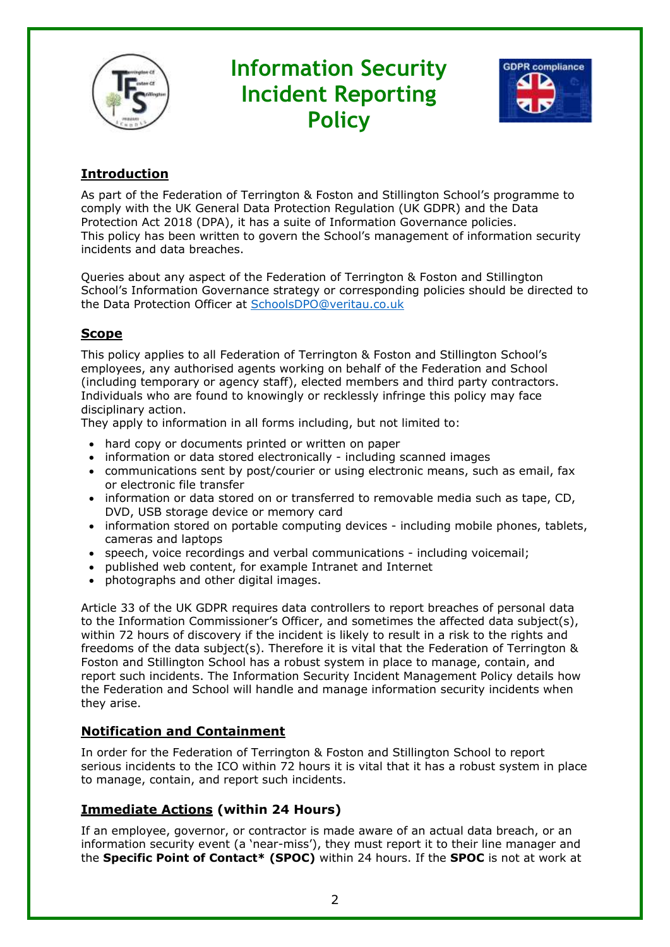

# **Information Security Incident Reporting Policy**



## **Introduction**

As part of the Federation of Terrington & Foston and Stillington School's programme to comply with the UK General Data Protection Regulation (UK GDPR) and the Data Protection Act 2018 (DPA), it has a suite of Information Governance policies. This policy has been written to govern the School's management of information security incidents and data breaches.

Queries about any aspect of the Federation of Terrington & Foston and Stillington School's Information Governance strategy or corresponding policies should be directed to the Data Protection Officer at [SchoolsDPO@veritau.co.uk](mailto:SchoolsDPO@veritau.co.uk)

## **Scope**

This policy applies to all Federation of Terrington & Foston and Stillington School's employees, any authorised agents working on behalf of the Federation and School (including temporary or agency staff), elected members and third party contractors. Individuals who are found to knowingly or recklessly infringe this policy may face disciplinary action.

They apply to information in all forms including, but not limited to:

- hard copy or documents printed or written on paper
- information or data stored electronically including scanned images
- communications sent by post/courier or using electronic means, such as email, fax or electronic file transfer
- information or data stored on or transferred to removable media such as tape, CD, DVD, USB storage device or memory card
- information stored on portable computing devices including mobile phones, tablets, cameras and laptops
- speech, voice recordings and verbal communications including voicemail;
- published web content, for example Intranet and Internet
- photographs and other digital images.

Article 33 of the UK GDPR requires data controllers to report breaches of personal data to the Information Commissioner's Officer, and sometimes the affected data subject(s), within 72 hours of discovery if the incident is likely to result in a risk to the rights and freedoms of the data subject(s). Therefore it is vital that the Federation of Terrington & Foston and Stillington School has a robust system in place to manage, contain, and report such incidents. The Information Security Incident Management Policy details how the Federation and School will handle and manage information security incidents when they arise.

## **Notification and Containment**

In order for the Federation of Terrington & Foston and Stillington School to report serious incidents to the ICO within 72 hours it is vital that it has a robust system in place to manage, contain, and report such incidents.

## **Immediate Actions (within 24 Hours)**

If an employee, governor, or contractor is made aware of an actual data breach, or an information security event (a 'near-miss'), they must report it to their line manager and the **Specific Point of Contact\* (SPOC)** within 24 hours. If the **SPOC** is not at work at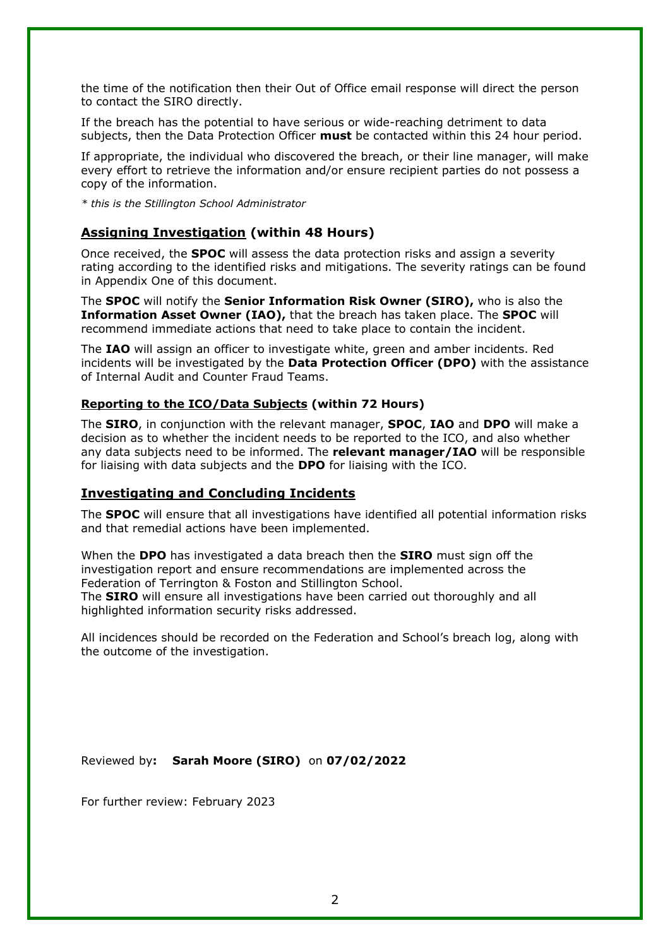the time of the notification then their Out of Office email response will direct the person to contact the SIRO directly.

If the breach has the potential to have serious or wide-reaching detriment to data subjects, then the Data Protection Officer **must** be contacted within this 24 hour period.

If appropriate, the individual who discovered the breach, or their line manager, will make every effort to retrieve the information and/or ensure recipient parties do not possess a copy of the information.

*\* this is the Stillington School Administrator*

#### **Assigning Investigation (within 48 Hours)**

Once received, the **SPOC** will assess the data protection risks and assign a severity rating according to the identified risks and mitigations. The severity ratings can be found in Appendix One of this document.

The **SPOC** will notify the **Senior Information Risk Owner (SIRO),** who is also the **Information Asset Owner (IAO),** that the breach has taken place. The **SPOC** will recommend immediate actions that need to take place to contain the incident.

The **IAO** will assign an officer to investigate white, green and amber incidents. Red incidents will be investigated by the **Data Protection Officer (DPO)** with the assistance of Internal Audit and Counter Fraud Teams.

#### **Reporting to the ICO/Data Subjects (within 72 Hours)**

The **SIRO**, in conjunction with the relevant manager, **SPOC**, **IAO** and **DPO** will make a decision as to whether the incident needs to be reported to the ICO, and also whether any data subjects need to be informed. The **relevant manager/IAO** will be responsible for liaising with data subjects and the **DPO** for liaising with the ICO.

#### **Investigating and Concluding Incidents**

The **SPOC** will ensure that all investigations have identified all potential information risks and that remedial actions have been implemented.

When the **DPO** has investigated a data breach then the **SIRO** must sign off the investigation report and ensure recommendations are implemented across the Federation of Terrington & Foston and Stillington School.

The **SIRO** will ensure all investigations have been carried out thoroughly and all highlighted information security risks addressed.

All incidences should be recorded on the Federation and School's breach log, along with the outcome of the investigation.

Reviewed by**: Sarah Moore (SIRO)** on **07/02/2022**

For further review: February 2023